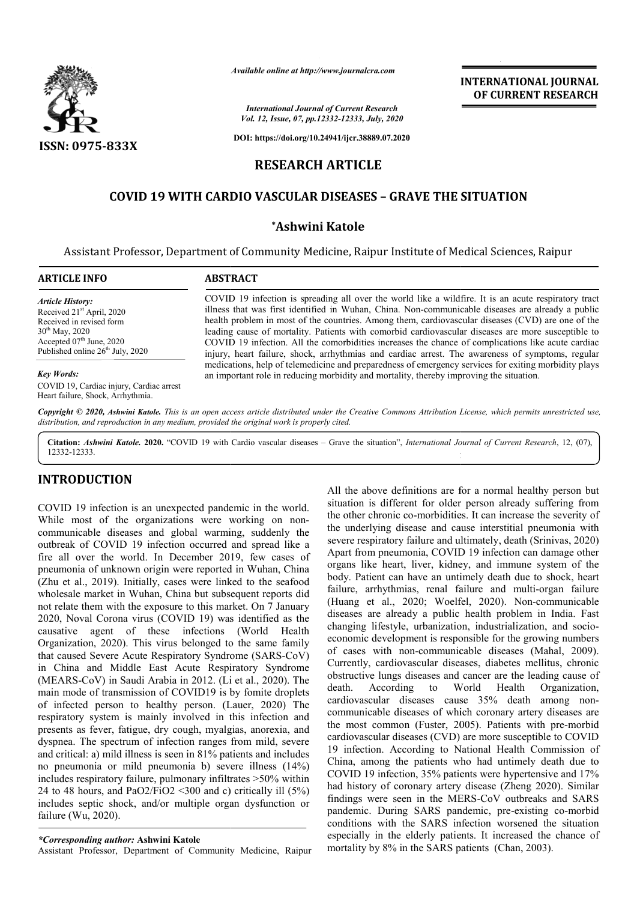

*Available online at http://www.journalcra.com*

*International Journal of Current Research Vol. 12, Issue, 07, pp.12332-12333, July, 2020*

**DOI: https://doi.org/10.24941/ijcr.38889.07.2020**

## **RESEARCH ARTICLE**

# **COVID 19 WITH CARDIO VASCULAR DISEASES – GRAVE THE SITUATION**

#### **\*Ashwini Katole**

Assistant Professor, Department of Community Medicine, Raipur Institute of Medical Sciences, Raipur

| <b>ARTICLE INFO</b>                                                                                                                                                                     | <b>ABSTRACT</b>                                                                                                                                                                                                                                                                                                                                                                                                                                                                                                                                                                                                                                                                                                                                                                                                                   |
|-----------------------------------------------------------------------------------------------------------------------------------------------------------------------------------------|-----------------------------------------------------------------------------------------------------------------------------------------------------------------------------------------------------------------------------------------------------------------------------------------------------------------------------------------------------------------------------------------------------------------------------------------------------------------------------------------------------------------------------------------------------------------------------------------------------------------------------------------------------------------------------------------------------------------------------------------------------------------------------------------------------------------------------------|
| <b>Article History:</b><br>Received 21 <sup>st</sup> April, 2020<br>Received in revised form<br>$30^{th}$ May, 2020<br>Accepted $07th$ June, 2020<br>Published online $26th$ July, 2020 | COVID 19 infection is spreading all over the world like a wildfire. It is an acute respiratory tract<br>illness that was first identified in Wuhan, China. Non-communicable diseases are already a public<br>health problem in most of the countries. Among them, cardiovascular diseases (CVD) are one of the<br>leading cause of mortality. Patients with comorbid cardiovascular diseases are more susceptible to<br>COVID 19 infection. All the comorbidities increases the chance of complications like acute cardiac<br>injury, heart failure, shock, arrhythmias and cardiac arrest. The awareness of symptoms, regular<br>medications, help of telemedicine and preparedness of emergency services for exiting morbidity plays<br>an important role in reducing morbidity and mortality, thereby improving the situation. |
| Key Words:<br>COVID 19, Cardiac injury, Cardiac arrest<br>Heart failure, Shock, Arrhythmia.                                                                                             |                                                                                                                                                                                                                                                                                                                                                                                                                                                                                                                                                                                                                                                                                                                                                                                                                                   |

Copyright © 2020, Ashwini Katole. This is an open access article distributed under the Creative Commons Attribution License, which permits unrestricted use, *distribution, and reproduction in any medium, provided the original work is properly cited.*

**Citation:** Ashwini Katole. 2020. "COVID 19 with Cardio vascular diseases – Grave the situation", *International Journal of Current Research*, 12, (07), 12332-12333.

### **INTRODUCTION**

COVID 19 infection is an unexpected pandemic in the world. While most of the organizations were working on noncommunicable diseases and global warming, suddenly the outbreak of COVID 19 infection occurred and spread like a fire all over the world. In December 2019, few cases of pneumonia of unknown origin were reported in Wuhan, China (Zhu et al., 2019). Initially, cases were linked to the seafood wholesale market in Wuhan, China but subsequent reports did not relate them with the exposure to this market. On 7 January 2020, Noval Corona virus (COVID 19) was identified as the causative agent of these infections (World Health Organization, 2020). This virus belonged to the same family that caused Severe Acute Respiratory Syndrome (SARS-CoV) in China and Middle East Acute Respiratory Syndrome (MEARS-CoV) in Saudi Arabia in 2012. (Li et al., 2020). The main mode of transmission of COVID19 is by fomite droplets of infected person to healthy person. (Lauer, 2020) The respiratory system is mainly involved in this infection and presents as fever, fatigue, dry cough, myalgias, anorexia, and dyspnea. The spectrum of infection ranges from mild, severe and critical: a) mild illness is seen in 81% patients and includes no pneumonia or mild pneumonia b) severe illness (14 (14%) includes respiratory failure, pulmonary infiltrates >50% within 24 to 48 hours, and PaO2/FiO2 <300 and c) critically ill  $(5%)$ includes septic shock, and/or multiple organ dysfunction or failure (Wu, 2020). and Middle East Acute Respiratory Syndrome CoV) in Saudi Arabia in 2012. (Li et al., 2020). The e of transmission of COVID19 is by fomite droplets depends of could person to healthy person. (Lauer, 2020) The  $\gamma$  system is **RODUCTION**<br>
All the above definitions are for<br>
ID 19 infection is an unexpected pandemic in the world. Situation is different for older<br>
promotions were working on non-<br>
the other promotion is combinities.<br>
In order the

Assistant Professor, Department of Community Medicine, Raipur

All the above definitions are for a normal healthy person but situation is different for older person already suffering from the other chronic co-morbidities. It can increase the severity of the underlying disease and cause interstitial pneumonia with severe respiratory failure and ultimately, death (Srinivas, 2020) Apart from pneumonia, COVID 19 infection can damage other organs like heart, liver, kidney, and im body. Patient can have an untimely death due to shock, heart body. Patient can have an untimely death due to shock, heart failure, arrhythmias, renal failure and multi-organ failure (Huang et al., 2020; Woelfel, 2020). Non-communicable diseases are already a public health problem in India. Fast diseases are already a public health problem in India. Fast<br>changing lifestyle, urbanization, industrialization, and socioeconomic development is responsible for the growing numbers of cases with non-communicable diseases (Mahal, 2009). Currently, cardiovascular diseases, diabetes mellitus, chronic obstructive lungs diseases and cancer are the leading cause of death. According to World Health Organization, cardiovascular diseases cause 35% death among non communicable diseases of which coronary artery diseases are communicable diseases of which coronary artery diseases are the most common (Fuster, 2005). Patients with pre-morbid cardiovascular diseases (CVD) are more susceptible to COVID 19 infection. According to National Health Commission of China, among the patients who had untimely death due to COVID 19 infection, 35% patients were hypertensive and 17% had history of coronary artery disease (Zheng 2020). Similar findings were seen in the MERS-CoV outbreaks and SARS pandemic. During SARS pandemic, pre-existing co-morbid conditions with the SARS infection worsened the situation conditions with the SARS infection worsened the situation especially in the elderly patients. It increased the chance of mortality by 8% in the SARS patients (Chan, 2003). above definitions are for a normal healthy person but<br>i is different for older person already suffering from<br>ir chronic co-morbidities. It can increase the severity of underlying disease and cause interstitial pneumonia with<br>re respiratory failure and ultimately, death (Srinivas, 2020)<br>rt from pneumonia, COVID 19 infection can damage other<br>ins like heart, liver, kidney, and immune system development is responsible for the growing numbers<br>with non-communicable diseases (Mahal, 2009).<br>cardiovascular diseases, diabetes mellitus, chronic<br>velong to death leading cause of<br>According to World Health Organization,<br> lar diseases (CVD) are more susceptible to COVID<br>n. According to National Health Commission of<br>ong the patients who had untimely death due to<br>infection, 35% patients were hypertensive and 17%<br>of coronary artery disease (Zh **INTERNATIONAL JOURNAL**<br> **IDENTIFIENT (ITTLE STEAD (ITTLE STEAD (ITTLE STEAD (ITTLE STEAD (ITTLE STEAD (ITTLE STEAD (ITTLE STEAD (ITTLE STEAD (ITTLE STEAD (ITTLE 1003)<br>
IDENTIFIENT (ITTLE STEAD (ITTLE STEAD (ITTLE 11) THE** 

**INTERNATIONAL JOURNAL OF CURRENT RESEARCH**

*<sup>\*</sup>Corresponding author:* **Ashwini Katole**